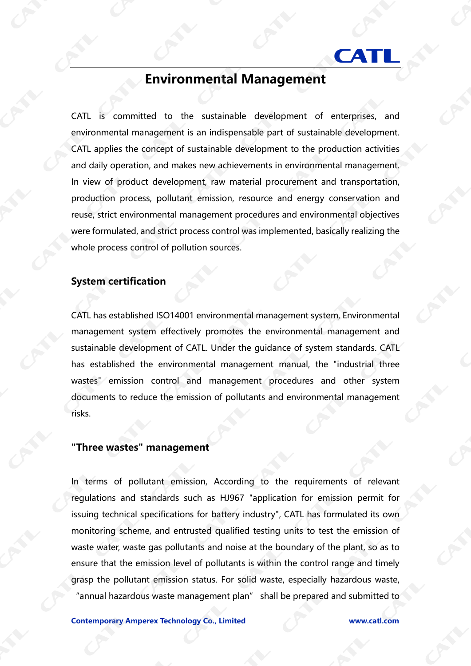# **CAL**

## **Environmental Management**

CATL is committed to the sustainable development of enterprises, and environmental management is an indispensable part of sustainable development. CATL applies the concept of sustainable development to the production activities and daily operation, and makes new achievements in environmental management. In view of product development, raw material procurement and transportation, production process, pollutant emission, resource and energy conservation and reuse, strict environmental management procedures and environmental objectives were formulated, and strict process control was implemented, basically realizing the whole process control of pollution sources.

#### **System certification**

CATL has established ISO14001 environmental management system, Environmental management system effectively promotes the environmental management and sustainable development of CATL. Under the guidance of system standards. CATL has established the environmental management manual, the "industrial three wastes" emission control and management procedures and other system documents to reduce the emission of pollutants and environmental management risks.

#### **"Three wastes" management**

In terms of pollutant emission, According to the requirements of relevant regulations and standards such as HJ967 "application for emission permit for issuing technical specifications for battery industry", CATL has formulated its own monitoring scheme, and entrusted qualified testing units to test the emission of waste water, waste gas pollutants and noise at the boundary of the plant, so as to ensure that the emission level of pollutants is within the control range and timely grasp the pollutant emission status. For solid waste, especially hazardous waste, "annual hazardous waste management plan" shall be prepared and submitted to